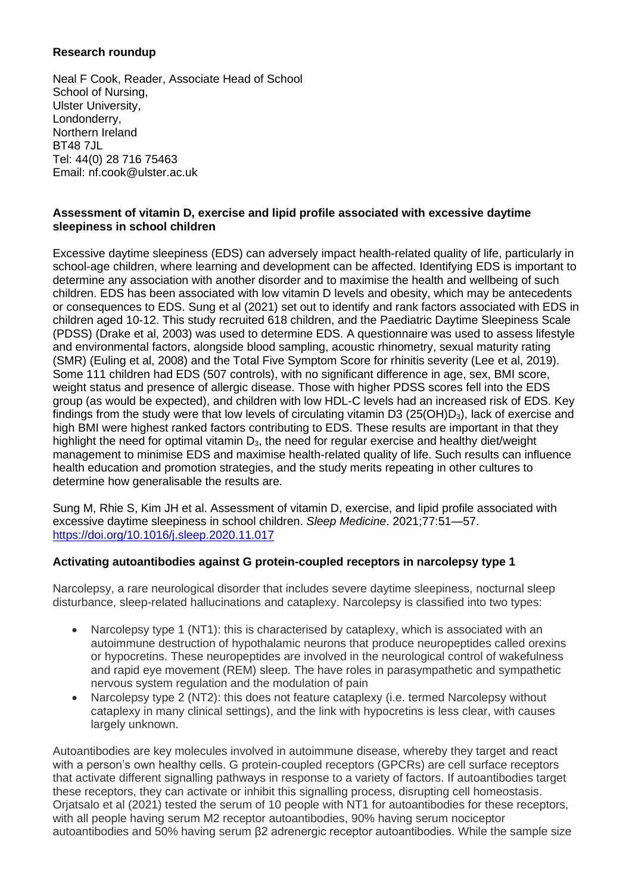# **Research roundup**

Neal F Cook, Reader, Associate Head of School School of Nursing, Ulster University, Londonderry, Northern Ireland BT48 7JL Tel: 44(0) 28 716 75463 Email: nf.cook@ulster.ac.uk

# **Assessment of vitamin D, exercise and lipid profile associated with excessive daytime sleepiness in school children**

Excessive daytime sleepiness (EDS) can adversely impact health-related quality of life, particularly in school-age children, where learning and development can be affected. Identifying EDS is important to determine any association with another disorder and to maximise the health and wellbeing of such children. EDS has been associated with low vitamin D levels and obesity, which may be antecedents or consequences to EDS. Sung et al (2021) set out to identify and rank factors associated with EDS in children aged 10-12. This study recruited 618 children, and the Paediatric Daytime Sleepiness Scale (PDSS) (Drake et al, 2003) was used to determine EDS. A questionnaire was used to assess lifestyle and environmental factors, alongside blood sampling, acoustic rhinometry, sexual maturity rating (SMR) (Euling et al, 2008) and the Total Five Symptom Score for rhinitis severity (Lee et al, 2019). Some 111 children had EDS (507 controls), with no significant difference in age, sex, BMI score, weight status and presence of allergic disease. Those with higher PDSS scores fell into the EDS group (as would be expected), and children with low HDL-C levels had an increased risk of EDS. Key findings from the study were that low levels of circulating vitamin D3 ( $25(OH)D<sub>3</sub>$ ), lack of exercise and high BMI were highest ranked factors contributing to EDS. These results are important in that they highlight the need for optimal vitamin  $D_3$ , the need for regular exercise and healthy diet/weight management to minimise EDS and maximise health-related quality of life. Such results can influence health education and promotion strategies, and the study merits repeating in other cultures to determine how generalisable the results are.

Sung M, Rhie S, Kim JH et al. Assessment of vitamin D, exercise, and lipid profile associated with excessive daytime sleepiness in school children. *Sleep Medicine*. 2021;77:51—57. <https://doi.org/10.1016/j.sleep.2020.11.017>

### **Activating autoantibodies against G protein-coupled receptors in narcolepsy type 1**

Narcolepsy, a rare neurological disorder that includes severe daytime sleepiness, nocturnal sleep disturbance, sleep-related hallucinations and cataplexy. Narcolepsy is classified into two types:

- Narcolepsy type 1 (NT1): this is characterised by cataplexy, which is associated with an autoimmune destruction of hypothalamic neurons that produce neuropeptides called orexins or hypocretins. These neuropeptides are involved in the neurological control of wakefulness and rapid eye movement (REM) sleep. The have roles in parasympathetic and sympathetic nervous system regulation and the modulation of pain
- Narcolepsy type 2 (NT2): this does not feature cataplexy (i.e. termed Narcolepsy without cataplexy in many clinical settings), and the link with hypocretins is less clear, with causes largely unknown.

Autoantibodies are key molecules involved in autoimmune disease, whereby they target and react with a person's own healthy cells. G protein-coupled receptors (GPCRs) are cell surface receptors that activate different signalling pathways in response to a variety of factors. If autoantibodies target these receptors, they can activate or inhibit this signalling process, disrupting cell homeostasis. Orjatsalo et al (2021) tested the serum of 10 people with NT1 for autoantibodies for these receptors, with all people having serum M2 receptor autoantibodies, 90% having serum nociceptor autoantibodies and 50% having serum β2 adrenergic receptor autoantibodies. While the sample size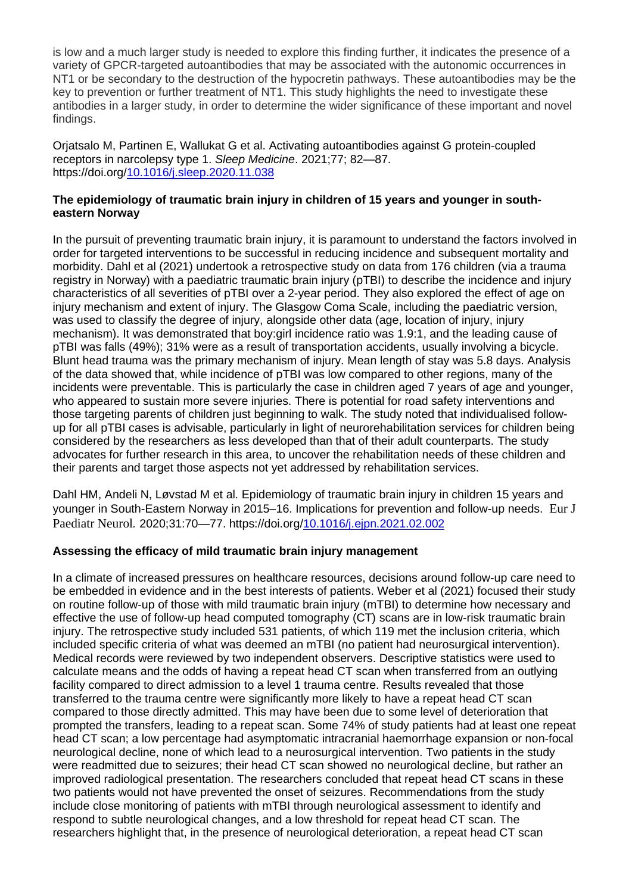is low and a much larger study is needed to explore this finding further, it indicates the presence of a variety of GPCR-targeted autoantibodies that may be associated with the autonomic occurrences in NT1 or be secondary to the destruction of the hypocretin pathways. These autoantibodies may be the key to prevention or further treatment of NT1. This study highlights the need to investigate these antibodies in a larger study, in order to determine the wider significance of these important and novel findings.

Orjatsalo M, Partinen E, Wallukat G et al. Activating autoantibodies against G protein-coupled receptors in narcolepsy type 1. *Sleep Medicine*. 2021;77; 82—87. https://doi.org[/10.1016/j.sleep.2020.11.038](https://www.researchgate.net/deref/http%3A%2F%2Fdx.doi.org%2F10.1016%2Fj.sleep.2020.11.038)

## **The epidemiology of traumatic brain injury in children of 15 years and younger in southeastern Norway**

In the pursuit of preventing traumatic brain injury, it is paramount to understand the factors involved in order for targeted interventions to be successful in reducing incidence and subsequent mortality and morbidity. Dahl et al (2021) undertook a retrospective study on data from 176 children (via a trauma registry in Norway) with a paediatric traumatic brain injury (pTBI) to describe the incidence and injury characteristics of all severities of pTBI over a 2-year period. They also explored the effect of age on injury mechanism and extent of injury. The Glasgow Coma Scale, including the paediatric version, was used to classify the degree of injury, alongside other data (age, location of injury, injury mechanism). It was demonstrated that boy:girl incidence ratio was 1.9:1, and the leading cause of pTBI was falls (49%); 31% were as a result of transportation accidents, usually involving a bicycle. Blunt head trauma was the primary mechanism of injury. Mean length of stay was 5.8 days. Analysis of the data showed that, while incidence of pTBI was low compared to other regions, many of the incidents were preventable. This is particularly the case in children aged 7 years of age and younger, who appeared to sustain more severe injuries. There is potential for road safety interventions and those targeting parents of children just beginning to walk. The study noted that individualised followup for all pTBI cases is advisable, particularly in light of neurorehabilitation services for children being considered by the researchers as less developed than that of their adult counterparts. The study advocates for further research in this area, to uncover the rehabilitation needs of these children and their parents and target those aspects not yet addressed by rehabilitation services.

Dahl HM, Andeli N, Løvstad M et al. Epidemiology of traumatic brain injury in children 15 years and younger in South-Eastern Norway in 2015–16. Implications for prevention and follow-up needs. Eur J Paediatr Neurol*.* 2020;31:70—77. https://doi.org[/10.1016/j.ejpn.2021.02.002](https://doi.org/10.1016/j.ejpn.2021.02.002)

### **Assessing the efficacy of mild traumatic brain injury management**

In a climate of increased pressures on healthcare resources, decisions around follow-up care need to be embedded in evidence and in the best interests of patients. Weber et al (2021) focused their study on routine follow-up of those with mild traumatic brain injury (mTBI) to determine how necessary and effective the use of follow-up head computed tomography (CT) scans are in low-risk traumatic brain injury. The retrospective study included 531 patients, of which 119 met the inclusion criteria, which included specific criteria of what was deemed an mTBI (no patient had neurosurgical intervention). Medical records were reviewed by two independent observers. Descriptive statistics were used to calculate means and the odds of having a repeat head CT scan when transferred from an outlying facility compared to direct admission to a level 1 trauma centre. Results revealed that those transferred to the trauma centre were significantly more likely to have a repeat head CT scan compared to those directly admitted. This may have been due to some level of deterioration that prompted the transfers, leading to a repeat scan. Some 74% of study patients had at least one repeat head CT scan; a low percentage had asymptomatic intracranial haemorrhage expansion or non-focal neurological decline, none of which lead to a neurosurgical intervention. Two patients in the study were readmitted due to seizures; their head CT scan showed no neurological decline, but rather an improved radiological presentation. The researchers concluded that repeat head CT scans in these two patients would not have prevented the onset of seizures. Recommendations from the study include close monitoring of patients with mTBI through neurological assessment to identify and respond to subtle neurological changes, and a low threshold for repeat head CT scan. The researchers highlight that, in the presence of neurological deterioration, a repeat head CT scan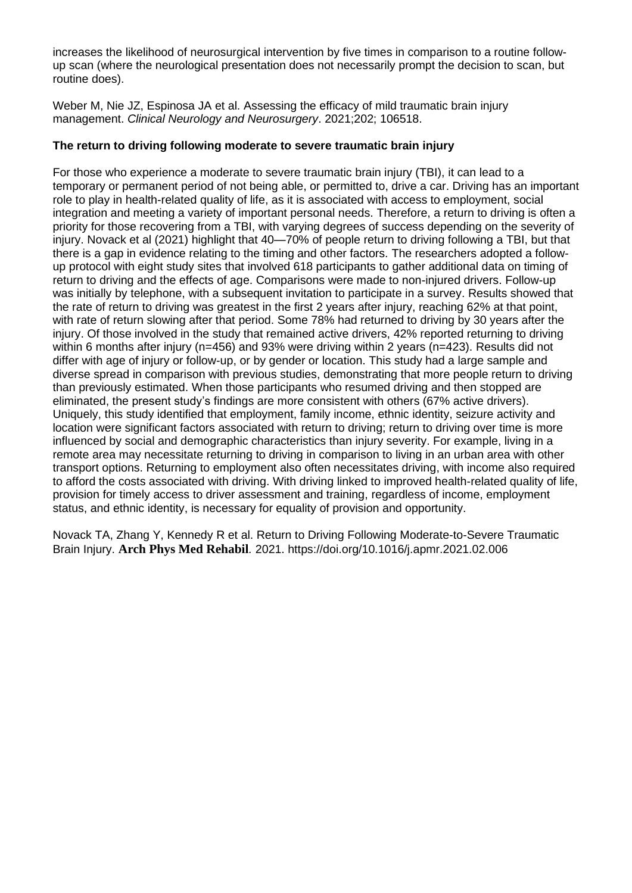increases the likelihood of neurosurgical intervention by five times in comparison to a routine followup scan (where the neurological presentation does not necessarily prompt the decision to scan, but routine does).

Weber M, Nie JZ, Espinosa JA et al. Assessing the efficacy of mild traumatic brain injury management. *Clinical Neurology and Neurosurgery*. 2021;202; 106518.

# **The return to driving following moderate to severe traumatic brain injury**

For those who experience a moderate to severe traumatic brain injury (TBI), it can lead to a temporary or permanent period of not being able, or permitted to, drive a car. Driving has an important role to play in health-related quality of life, as it is associated with access to employment, social integration and meeting a variety of important personal needs. Therefore, a return to driving is often a priority for those recovering from a TBI, with varying degrees of success depending on the severity of injury. Novack et al (2021) highlight that 40—70% of people return to driving following a TBI, but that there is a gap in evidence relating to the timing and other factors. The researchers adopted a followup protocol with eight study sites that involved 618 participants to gather additional data on timing of return to driving and the effects of age. Comparisons were made to non-injured drivers. Follow-up was initially by telephone, with a subsequent invitation to participate in a survey. Results showed that the rate of return to driving was greatest in the first 2 years after injury, reaching 62% at that point, with rate of return slowing after that period. Some 78% had returned to driving by 30 years after the injury. Of those involved in the study that remained active drivers, 42% reported returning to driving within 6 months after injury (n=456) and 93% were driving within 2 years (n=423). Results did not differ with age of injury or follow-up, or by gender or location. This study had a large sample and diverse spread in comparison with previous studies, demonstrating that more people return to driving than previously estimated. When those participants who resumed driving and then stopped are eliminated, the present study's findings are more consistent with others (67% active drivers). Uniquely, this study identified that employment, family income, ethnic identity, seizure activity and location were significant factors associated with return to driving; return to driving over time is more influenced by social and demographic characteristics than injury severity. For example, living in a remote area may necessitate returning to driving in comparison to living in an urban area with other transport options. Returning to employment also often necessitates driving, with income also required to afford the costs associated with driving. With driving linked to improved health-related quality of life, provision for timely access to driver assessment and training, regardless of income, employment status, and ethnic identity, is necessary for equality of provision and opportunity.

Novack TA, Zhang Y, Kennedy R et al. Return to Driving Following Moderate-to-Severe Traumatic Brain Injury. **Arch Phys Med Rehabil***.* 2021. https://doi.org/10.1016/j.apmr.2021.02.006